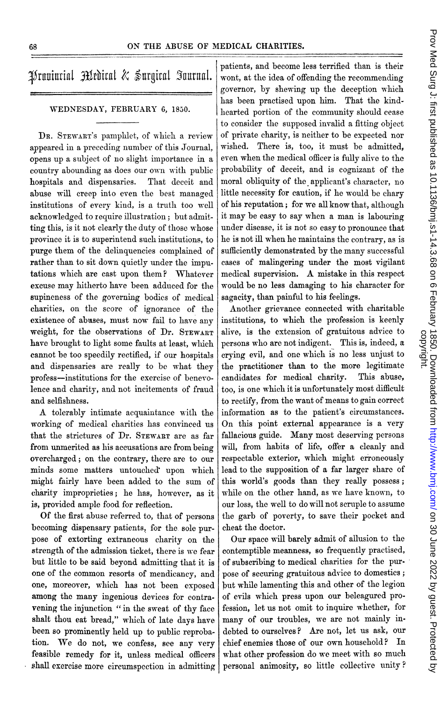appeared in a preceding number of this Journal, opens up a subject of no slight importance in a even when the medical officer is fully alive to the country abounding as does our own with public probability of deceit, and is cognizant of the hospitals and dispensaries. That deceit and moral obliquity of the applicant's character, no abuse will creep into even the best managed little necessity for caution, if he would be chary institutions of every kind, is a truth too well of his reputation; for we all know that, although acknowledged to require illustration; but admit- it may be easy to say when a man is labouring acknowledged to require illustration; but admit- it may be easy to say when a man is labouring<br>ting this, is it not clearly the duty of those whose under disease, it is not so easy to pronounce that ting this, is it not clearly the duty of those whose province it is to superintend such institutions, to  $\vert$  he is not ill when he maintains the contrary, as is purge them of the delinquencies complained of sufficiently demonstrated by the many successful rather than to sit down quietly under the impu- cases of malingering under the most vigilant tations which are cast upon them? Whatever medical supervision. A mistake in this respect excuse may hitherto have been adduced for the would be no less damaging to his character for supineness of the governing bodies of medical sagacity, than painful to his feelings. charities, on the score of ignorance of the Another grievance connected with charitable existence of abuses, must now fail to have any institutions, to which the profession is keenly weight, for the observations of Dr.  $S$ TEWART alive, is the extension of gratuitous advice to have brought to light some faults at least, which persons who are not indigent. This is, indeed, a have brought to light some faults at least, which cannot be too speedily rectified, if our hospitals crying evil, and one which is no less unjust to and dispensaries are really to be what they the practitioner than to the more legitimate profess-institutions for the exercise of benevo- candidates for medical charity. This abuse, lence and charity, and not incitements of fraud  $\vert$  too, is one which it is unfortunately most difficult and selfishness. the rectify, from the want of means to gain correct

working of medical charities has convinced us that the strictures of Dr. STEWART are as far fallacious guide. Many most deserving persons from unmerited as his accusations are from being will, from habits of life, offer a cleanly and from unmerited as his accusations are from being overcharged; on the contrary, there are to our respectable exterior, which might erroneously minds some matters untouched upon which lead to the supposition of a far larger share of minds some matters untouched upon which might fairly have been added to the sum of this world's goods than they really possess; charity improprieties; he has, however, as it while on the other hand, as we have known, to is, provided ample food for reflection.  $\vert$  our loss, the well to do will not scruple to assume

becoming dispensary patients, for the sole pur-<br>pose of extorting extraneous charity on the Our space will barely admit of allusion to the pose of extorting extraneous charity on the Our space will barely admit of allusion to the strength of the admission ticket, there is we fear contemptible meanness, so frequently practised, strength of the admission ticket, there is we fear but little to be said beyond admitting that it is of subscribing to medical charities for the purone of the common resorts of mendicancy, and pose of securing gratuitous advice to domestics; one, moreover, which has not been exposed but while lamenting this and other of the legion among the many ingenious devices for contra- of evils which press upon our beleagured provening the injunction " in the sweat of thy face fession, let us not omit to inquire whether, for shalt thou eat bread," which of late days have many of our troubles, we are not mainly inbeen so prominently held up to public reproba- debted to ourselves? Are not, let us ask, our tion. We do not, we confess, see any very chief enemies those of our own household? In feasible remedy for it, unless medical officers what other profession do we meet with so much shall exercise more circumspection in admitting personal animosity, so little collective unity?

patients, and become less terrified than is their  $\mathcal{H}$ rnuiurinl  $\mathcal{H}$ rdirnl  $\&$   $\mathcal{H}$ urgirnl  $\mathcal{H}$ urnnl. wont, at the idea of offending the recommending governor, by shewing up the deception which has been practised upon him. That the kind-WEDNESDAY, FEBRUARY 6, 1850.  $\left| \right|$  hearted portion of the community should cease to consider the supposed invalid a fitting object DR. STEWART's pamphlet, of which a review of private charity, is neither to be expected nor<br>poeared in a preceding number of this Journal. wished. There is, too, it must be admitted.

A tolerably intimate acquaintance with the information as to the patient's circumstances.<br>
orking of medical charities has convinced us On this point external appearance is a very Of the first abuse referred to, that of persons the garb of poverty, to save their pocket and